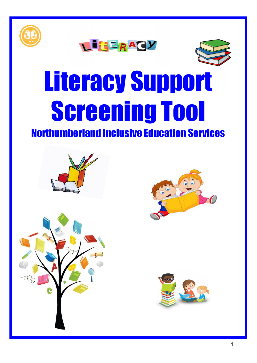





# Literacy Support Screening Tool

## Northumberland Inclusive Education Services





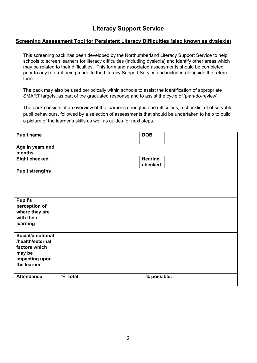## **Literacy Support Service**

## **Screening Assessment Tool for Persistent Literacy Difficulties (also known as dyslexia)**

This screening pack has been developed by the Northumberland Literacy Support Service to help schools to screen learners for literacy difficulties (including dyslexia) and identify other areas which may be related to their difficulties. This form and associated assessments should be completed prior to any referral being made to the Literacy Support Service and included alongside the referral form.

The pack may also be used periodically within schools to assist the identification of appropriate SMART targets, as part of the graduated response and to assist the cycle of 'plan-do-review'.

The pack consists of an overview of the learner's strengths and difficulties, a checklist of observable pupil behaviours, followed by a selection of assessments that should be undertaken to help to build a picture of the learner's skills as well as guides for next steps.

| <b>Pupil name</b>                                                                                |          | <b>DOB</b>                |  |
|--------------------------------------------------------------------------------------------------|----------|---------------------------|--|
| Age in years and<br>months                                                                       |          |                           |  |
| <b>Sight checked</b>                                                                             |          | <b>Hearing</b><br>checked |  |
| <b>Pupil strengths</b>                                                                           |          |                           |  |
| Pupil's<br>perception of<br>where they are<br>with their<br>learning                             |          |                           |  |
| Social/emotional<br>/health/external<br>factors which<br>may be<br>impacting upon<br>the learner |          |                           |  |
| <b>Attendance</b>                                                                                | % total: | % possible:               |  |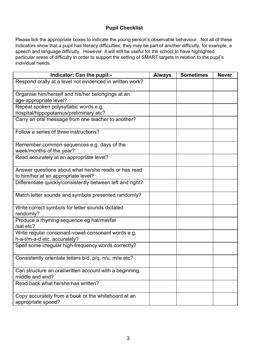## **Pupil Checklist**

Please tick the appropriate boxes to indicate the young person's observable behaviour. Not all of these indicators show that a pupil has literacy difficulties; they may be part of another difficulty, for example, a speech and language difficulty. However, it will still be useful for the school to have highlighted particular areas of difficulty in order to support the setting of SMART targets in relation to the pupil's individual needs.

| Indicator: Can the pupil:-                                                         | <b>Always</b> | <b>Sometimes</b> | <b>Never</b> |
|------------------------------------------------------------------------------------|---------------|------------------|--------------|
| Respond orally at a level not evidenced in written work?                           |               |                  |              |
| Organise him/herself and his/her belongings at an                                  |               |                  |              |
| age-appropriate level?                                                             |               |                  |              |
| Repeat spoken polysyllabic words e.g.                                              |               |                  |              |
| hospital/hippopotamus/preliminary etc?                                             |               |                  |              |
| Carry an oral message from one teacher to another?                                 |               |                  |              |
| Follow a series of three instructions?                                             |               |                  |              |
| Remember common sequences e.g. days of the                                         |               |                  |              |
| week/months of the year?                                                           |               |                  |              |
| Read accurately at an appropriate level?                                           |               |                  |              |
| Answer questions about what he/she reads or has read                               |               |                  |              |
| to him/her at an appropriate level?                                                |               |                  |              |
| Differentiate quickly/consistently between left and right?                         |               |                  |              |
| Match letter sounds and symbols presented randomly?                                |               |                  |              |
| Write correct symbols for letter sounds dictated                                   |               |                  |              |
| randomly?                                                                          |               |                  |              |
| Produce a rhyming sequence eg hat/mat/fat<br>/sat etc?                             |               |                  |              |
| Write regular consonant-vowel-consonant words e.g.<br>h-a-t/m-a-d etc. accurately? |               |                  |              |
| Spell some irregular high-frequency words correctly?                               |               |                  |              |
|                                                                                    |               |                  |              |
| Consistently orientate letters b/d, p/q, n/u, m/w etc?                             |               |                  |              |
| Can structure an oral/written account with a beginning,<br>middle and end?         |               |                  |              |
| Read back what he/she has written?                                                 |               |                  |              |
| Copy accurately from a book or the whiteboard at an<br>appropriate speed?          |               |                  |              |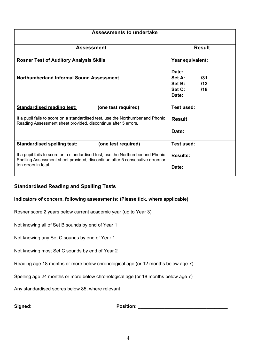| <b>Assessments to undertake</b>                                                                                                                                  |                  |  |  |  |
|------------------------------------------------------------------------------------------------------------------------------------------------------------------|------------------|--|--|--|
| <b>Assessment</b>                                                                                                                                                | <b>Result</b>    |  |  |  |
| <b>Rosner Test of Auditory Analysis Skills</b>                                                                                                                   | Year equivalent: |  |  |  |
|                                                                                                                                                                  | Date:            |  |  |  |
| Northumberland Informal Sound Assessment                                                                                                                         | 131<br>Set A:    |  |  |  |
|                                                                                                                                                                  | Set B:<br>112    |  |  |  |
|                                                                                                                                                                  | Set C:<br>/18    |  |  |  |
|                                                                                                                                                                  | Date:            |  |  |  |
|                                                                                                                                                                  |                  |  |  |  |
| <b>Standardised reading test:</b><br>(one test required)                                                                                                         | Test used:       |  |  |  |
| If a pupil fails to score on a standardised test, use the Northumberland Phonic<br>Reading Assessment sheet provided, discontinue after 5 errors.                | <b>Result</b>    |  |  |  |
|                                                                                                                                                                  | Date:            |  |  |  |
| <b>Standardised spelling test:</b><br>(one test required)                                                                                                        | Test used:       |  |  |  |
|                                                                                                                                                                  |                  |  |  |  |
| If a pupil fails to score on a standardised test, use the Northumberland Phonic<br>Spelling Assessment sheet provided, discontinue after 5 consecutive errors or | <b>Results:</b>  |  |  |  |
| ten errors in total                                                                                                                                              | Date:            |  |  |  |

## **Standardised Reading and Spelling Tests**

**Indicators of concern, following assessments: (Please tick, where applicable)**

Rosner score 2 years below current academic year (up to Year 3)

Not knowing all of Set B sounds by end of Year 1

Not knowing any Set C sounds by end of Year 1

Not knowing most Set C sounds by end of Year 2

Reading age 18 months or more below chronological age (or 12 months below age 7)

Spelling age 24 months or more below chronological age (or 18 months below age 7)

Any standardised scores below 85, where relevant

**Signed: Position: \_\_\_\_\_\_\_\_\_\_\_\_\_\_\_\_\_\_\_\_\_\_\_\_\_\_\_\_\_\_\_\_\_\_**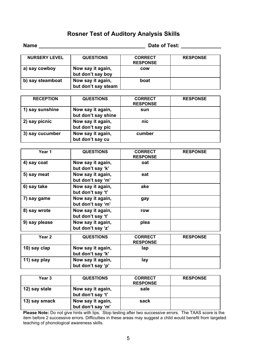## **Rosner Test of Auditory Analysis Skills**

**Name \_\_\_\_\_\_\_\_\_\_\_\_\_\_\_\_\_\_\_\_\_\_\_\_\_\_\_\_\_\_\_\_\_\_\_\_\_ Date of Test: \_\_\_\_\_\_\_\_\_\_\_\_\_\_**

| <b>NURSERY LEVEL</b> | <b>QUESTIONS</b>    | <b>CORRECT</b>  | <b>RESPONSE</b> |
|----------------------|---------------------|-----------------|-----------------|
|                      |                     | <b>RESPONSE</b> |                 |
| a) say cowboy        | Now say it again,   | <b>COW</b>      |                 |
|                      | but don't say boy   |                 |                 |
| b) say steamboat     | Now say it again,   | boat            |                 |
|                      | but don't say steam |                 |                 |

| <b>RECEPTION</b> | <b>QUESTIONS</b>                         | <b>CORRECT</b><br><b>RESPONSE</b> | <b>RESPONSE</b> |
|------------------|------------------------------------------|-----------------------------------|-----------------|
| 1) say sunshine  | Now say it again,<br>but don't say shine | sun                               |                 |
| 2) say picnic    | Now say it again,<br>but don't say pic   | nic                               |                 |
| 3) say cucumber  | Now say it again,<br>but don't say cu    | cumber                            |                 |

| Year 1                                                 | <b>QUESTIONS</b>                               | <b>CORRECT</b><br><b>RESPONSE</b> | <b>RESPONSE</b> |
|--------------------------------------------------------|------------------------------------------------|-----------------------------------|-----------------|
| 4) say coat<br>Now say it again,<br>but don't say 'k'  |                                                | oat                               |                 |
| 5) say meat                                            | Now say it again,<br>but don't say 'm'         | eat                               |                 |
| 6) say take                                            | Now say it again,<br>but don't say 't'         | ake                               |                 |
| Now say it again,<br>7) say game<br>but don't say 'm'  |                                                | gay                               |                 |
| 8) say wrote                                           | Now say it again,<br>but don't say 't'         |                                   |                 |
| 9) say please                                          | Now say it again,<br>plea<br>but don't say 'z' |                                   |                 |
| Year <sub>2</sub><br><b>QUESTIONS</b>                  |                                                | <b>CORRECT</b><br><b>RESPONSE</b> | <b>RESPONSE</b> |
| 10) say clap<br>Now say it again,<br>but don't say 'k' |                                                | lap                               |                 |
| Now say it again,<br>11) say play<br>but don't say 'p' |                                                | lay                               |                 |

| Year 3        | <b>QUESTIONS</b>                       | <b>CORRECT</b><br><b>RESPONSE</b> | <b>RESPONSE</b> |
|---------------|----------------------------------------|-----------------------------------|-----------------|
| 12) say stale | Now say it again,<br>but don't say 't' | sale                              |                 |
| 13) say smack | Now say it again,<br>but don't say 'm' | sack                              |                 |

**Please Note:** Do not give hints with lips. Stop testing after two successive errors. The TAAS score is the item before 2 successive errors. Difficulties in these areas may suggest a child would benefit from targeted teaching of phonological awareness skills.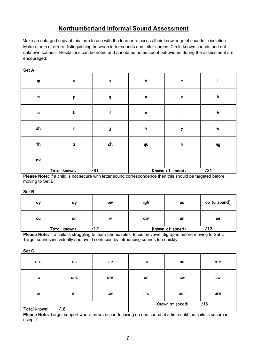## **Northumberland Informal Sound Assessment**

Make an enlarged copy of this form to use with the learner to assess their knowledge of sounds in isolation. Make a note of errors distinguishing between letter sounds and letter names. Circle known sounds and dot unknown sounds. Hesitations can be noted and annotated notes about behaviours during the assessment are encouraged.

| $\mathsf m$ | $\mathbf a$               | $\textsf{s}$     | $\mathbf d$ |                 |                           |
|-------------|---------------------------|------------------|-------------|-----------------|---------------------------|
| $\pmb{n}$   | $\boldsymbol{\mathsf{p}}$ | $\boldsymbol{g}$ | $\bullet$   | $\mathbf c$     | $\pmb k$                  |
| $\mathbf u$ | $\mathbf b$               | f                | $\pmb{e}$   |                 | $\boldsymbol{\mathsf{h}}$ |
| sh          | $\mathbf{r}$              | j                | $\mathbf v$ | Y               | $\boldsymbol{\mathsf{w}}$ |
| th          | $\pmb{z}$                 | ch               | qu          | $\pmb{\times}$  | ng                        |
| ${\sf nk}$  |                           |                  |             |                 |                           |
|             | Total known:              | /31              |             | Known at speed: | /31                       |

**Set A**

**Please Note:** If a child is not secure with letter sound correspondence then this should be targeted before moving to Set B

#### **Set B**

| οу | ay           | ow        | igh | 00              | oo (u sound) |
|----|--------------|-----------|-----|-----------------|--------------|
| ou | or           | <b>Ir</b> | air | ar              | ee           |
|    | Total known: | 12        |     | Known at speed: | 12'          |

**Please Note:** If a child is struggling to learn phonic rules, focus on vowel digraphs before moving to Set C Target sounds individually and avoid confusion by introducing sounds too quickly.

#### **Set C**

| a-e          | ea  | i-e | αi  | oa              | $o-e$ |
|--------------|-----|-----|-----|-----------------|-------|
| ie           | are | u-e | ur  | ew              | ow    |
| oi           | er  | αw  | ire | ear             | ure   |
| Total known: | /18 |     |     | Known at speed: | /18   |

**Please Note:** Target support where errors occur, focusing on one sound at a time until the child is secure in using it.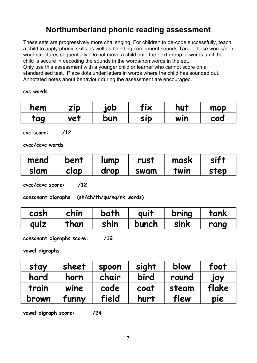## **Northumberland phonic reading assessment**

These sets are progressively more challenging. For children to de-code successfully, teach a child to apply phonic skills as well as blending component sounds.Target these words/non word structures sequentially. Do not move a child onto the next group of words until the child is secure in decoding the sounds in the words/non words in the set. Only use this assessment with a younger child or learner who cannot score on a standardised test. Place dots under letters in words where the child has sounded out. Annotated notes about behaviour during the assessment are encouraged.

#### **cvc words**

| hem | !D         | 10D | *1 Y<br>$\sim$ | hut | mop |
|-----|------------|-----|----------------|-----|-----|
| taq | <b>vet</b> | bun | <b>Sip</b>     | win | cod |

**cvc score: /12**

**cvcc/ccvc words**

| mend | bent | lump | rust | mask | sif+ |
|------|------|------|------|------|------|
| slam | clap | drop | swam | twin | step |

**cvcc/ccvc score: /12**

**consonant digraphs (sh/ch/th/qu/ng/nk words)**

| cash        | chin | bath | quit  | bring | tank |
|-------------|------|------|-------|-------|------|
| <b>QUIZ</b> | than | shin | bunch | sink  | rang |

**consonant digraphs score: /12**

**vowel digraphs**

| stay         | sheet | <b>SDOON</b> | sight | blow  | foot       |
|--------------|-------|--------------|-------|-------|------------|
| hard         | horn  | chair        | bird  | round | <b>10Y</b> |
| train        | wine  | code         | coat  | steam | flake      |
| <b>brown</b> | funny | field        | hurt  | flew  | pie        |

**vowel digraph score: /24**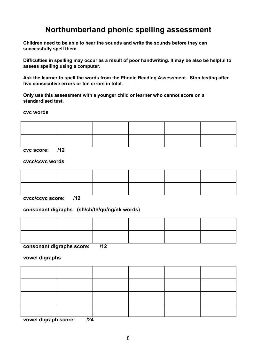## **Northumberland phonic spelling assessment**

**Children need to be able to hear the sounds and write the sounds before they can successfully spell them.**

**Difficulties in spelling may occur as a result of poor handwriting. It may be also be helpful to assess spelling using a computer.**

**Ask the learner to spell the words from the Phonic Reading Assessment. Stop testing after five consecutive errors or ten errors in total.**

**Only use this assessment with a younger child or learner who cannot score on a standardised test.**

**cvc words**

**cvc score: /12**

**cvcc/ccvc words**

**cvcc/ccvc score: /12**

**consonant digraphs (sh/ch/th/qu/ng/nk words)**

**consonant digraphs score: /12**

#### **vowel digraphs**

**vowel digraph score: /24**